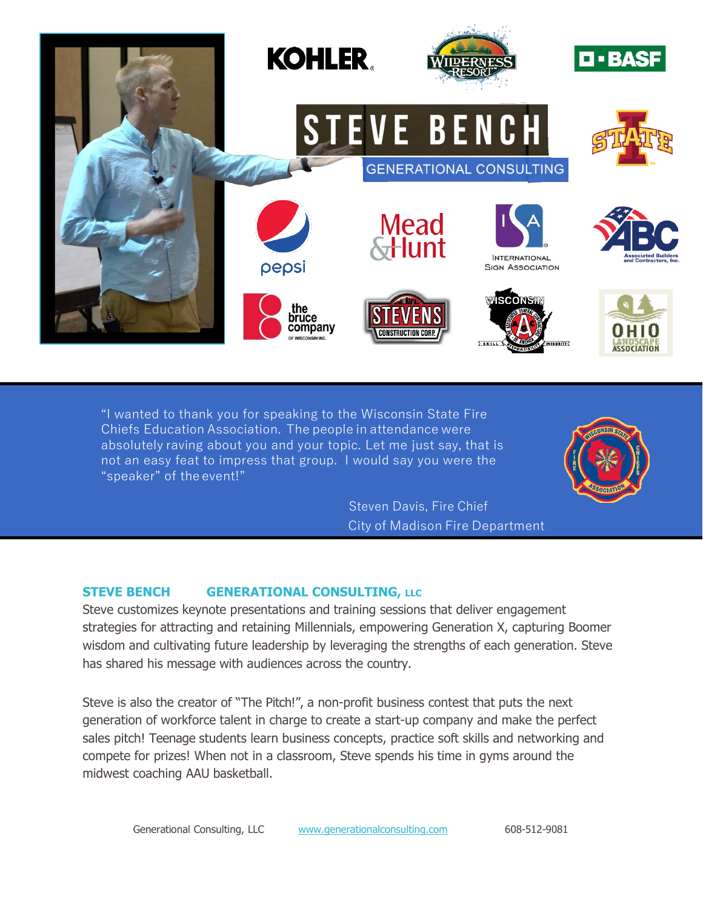

"I wanted to thank you for speaking to the Wisconsin State Fire Chiefs Education Association. The people in attendance were absolutely raving about you and your topic. Let me just say, that is not an easy feat to impress that group. I would say you were the "speaker" of the event!"

> Steven Davis, Fire Chief City of Madison Fire Department

## **STEVE BENCH GENERATIONAL CONSULTING, LLC**

Steve customizes keynote presentations and training sessions that deliver engagement strategies for attracting and retaining Millennials, empowering Generation X, capturing Boomer wisdom and cultivating future leadership by leveraging the strengths of each generation. Steve has shared his message with audiences across the country.

Steve is also the creator of "The Pitch!", a non-profit business contest that puts the next generation of workforce talent in charge to create a start-up company and make the perfect sales pitch! Teenage students learn business concepts, practice soft skills and networking and compete for prizes! When not in a classroom, Steve spends his time in gyms around the midwest coaching AAU basketball.